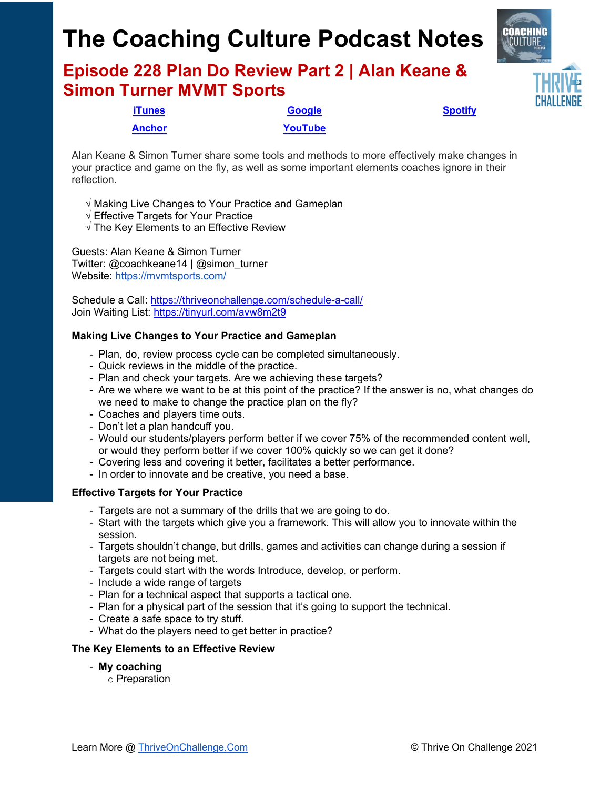# **The Coaching Culture Podcast Notes**

**Episode 228 Plan Do Review Part 2 | Alan Keane & Simon Turner MVMT Sports**



**[Anchor](https://tinyurl.com/4yhexz6d) [YouTube](https://www.youtube.com/channel/UC3vIljCBzwHcPyVIx9kiHvw)**

**[iTunes](https://tinyurl.com/y68cvd4x) [Google](https://tinyurl.com/xhduf9bw) [Spotify](https://tinyurl.com/3sf9cp5h)**

Alan Keane & Simon Turner share some tools and methods to more effectively make changes in your practice and game on the fly, as well as some important elements coaches ignore in their reflection.

- √ Making Live Changes to Your Practice and Gameplan
- √ Effective Targets for Your Practice
- √ The Key Elements to an Effective Review

Guests: Alan Keane & Simon Turner Twitter: @coachkeane14 | @simon\_turner Website: https://mvmtsports.com/

Schedule a Call: [https://thriveonchallenge.com/schedule](https://thriveonchallenge.com/schedule-a-call/)-a-call/ Join Waiting List:<https://tinyurl.com/avw8m2t9>

### **Making Live Changes to Your Practice and Gameplan**

- Plan, do, review process cycle can be completed simultaneously.
- Quick reviews in the middle of the practice.
- Plan and check your targets. Are we achieving these targets?
- Are we where we want to be at this point of the practice? If the answer is no, what changes do we need to make to change the practice plan on the fly?
- Coaches and players time outs.
- Don't let a plan handcuff you.
- Would our students/players perform better if we cover 75% of the recommended content well, or would they perform better if we cover 100% quickly so we can get it done?
- Covering less and covering it better, facilitates a better performance.
- In order to innovate and be creative, you need a base.

#### **Effective Targets for Your Practice**

- Targets are not a summary of the drills that we are going to do.
- Start with the targets which give you a framework. This will allow you to innovate within the session.
- Targets shouldn't change, but drills, games and activities can change during a session if targets are not being met.
- Targets could start with the words Introduce, develop, or perform.
- Include a wide range of targets
- Plan for a technical aspect that supports a tactical one.
- Plan for a physical part of the session that it's going to support the technical.
- Create a safe space to try stuff.
- What do the players need to get better in practice?

#### **The Key Elements to an Effective Review**

- **My coaching**
	- o Preparation